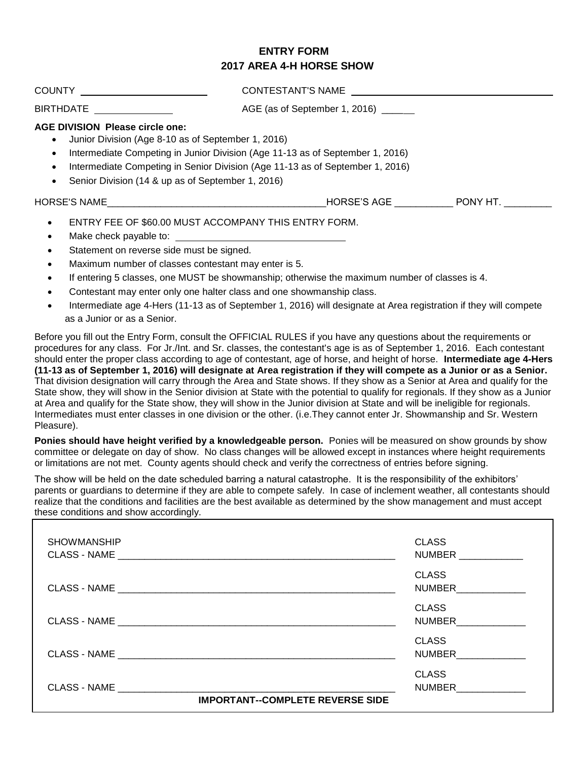## **ENTRY FORM 2017 AREA 4-H HORSE SHOW**

| COUNTY <u>___________________</u>                                                                                                                                                                                                                                                                                                                                       | CONTESTANT'S NAME                  |          |
|-------------------------------------------------------------------------------------------------------------------------------------------------------------------------------------------------------------------------------------------------------------------------------------------------------------------------------------------------------------------------|------------------------------------|----------|
| <b>BIRTHDATE</b>                                                                                                                                                                                                                                                                                                                                                        | AGE (as of September 1, 2016) ____ |          |
| <b>AGE DIVISION Please circle one:</b><br>Junior Division (Age 8-10 as of September 1, 2016)<br>$\bullet$<br>Intermediate Competing in Junior Division (Age 11-13 as of September 1, 2016)<br>$\bullet$<br>Intermediate Competing in Senior Division (Age 11-13 as of September 1, 2016)<br>$\bullet$<br>Senior Division (14 & up as of September 1, 2016)<br>$\bullet$ |                                    |          |
| HORSE'S NAME THE RESERVE THAT IS NOT THE RESERVE THAT IS NOT THE RESERVE THAT IS NOT THE RESERVE THAT IS NOT T                                                                                                                                                                                                                                                          | HORSE'S AGE                        | PONY HT. |
| ENTRY FEE OF \$60.00 MUST ACCOMPANY THIS ENTRY FORM.<br>$\bullet$                                                                                                                                                                                                                                                                                                       |                                    |          |

- Make check payable to:
- Statement on reverse side must be signed.
- Maximum number of classes contestant may enter is 5.
- If entering 5 classes, one MUST be showmanship; otherwise the maximum number of classes is 4.
- Contestant may enter only one halter class and one showmanship class.
- Intermediate age 4-Hers (11-13 as of September 1, 2016) will designate at Area registration if they will compete as a Junior or as a Senior.

Before you fill out the Entry Form, consult the OFFICIAL RULES if you have any questions about the requirements or procedures for any class. For Jr./Int. and Sr. classes, the contestant's age is as of September 1, 2016. Each contestant should enter the proper class according to age of contestant, age of horse, and height of horse. **Intermediate age 4-Hers (11-13 as of September 1, 2016) will designate at Area registration if they will compete as a Junior or as a Senior.** That division designation will carry through the Area and State shows. If they show as a Senior at Area and qualify for the State show, they will show in the Senior division at State with the potential to qualify for regionals. If they show as a Junior at Area and qualify for the State show, they will show in the Junior division at State and will be ineligible for regionals. Intermediates must enter classes in one division or the other. (i.e.They cannot enter Jr. Showmanship and Sr. Western Pleasure).

**Ponies should have height verified by a knowledgeable person.** Ponies will be measured on show grounds by show committee or delegate on day of show. No class changes will be allowed except in instances where height requirements or limitations are not met. County agents should check and verify the correctness of entries before signing.

The show will be held on the date scheduled barring a natural catastrophe. It is the responsibility of the exhibitors' parents or guardians to determine if they are able to compete safely. In case of inclement weather, all contestants should realize that the conditions and facilities are the best available as determined by the show management and must accept these conditions and show accordingly.

| <b>SHOWMANSHIP</b><br><b>CLASS - NAME</b><br><u> 1989 - Johann Stein, Amerikaansk politiker († 1908)</u> | <b>CLASS</b><br><b>NUMBER</b> |
|----------------------------------------------------------------------------------------------------------|-------------------------------|
|                                                                                                          | <b>CLASS</b><br><b>NUMBER</b> |
|                                                                                                          | <b>CLASS</b><br><b>NUMBER</b> |
|                                                                                                          | <b>CLASS</b><br><b>NUMBER</b> |
| CLASS - NAME<br><b>IMPORTANT--COMPLETE REVERSE SIDE</b>                                                  | <b>CLASS</b><br><b>NUMBER</b> |